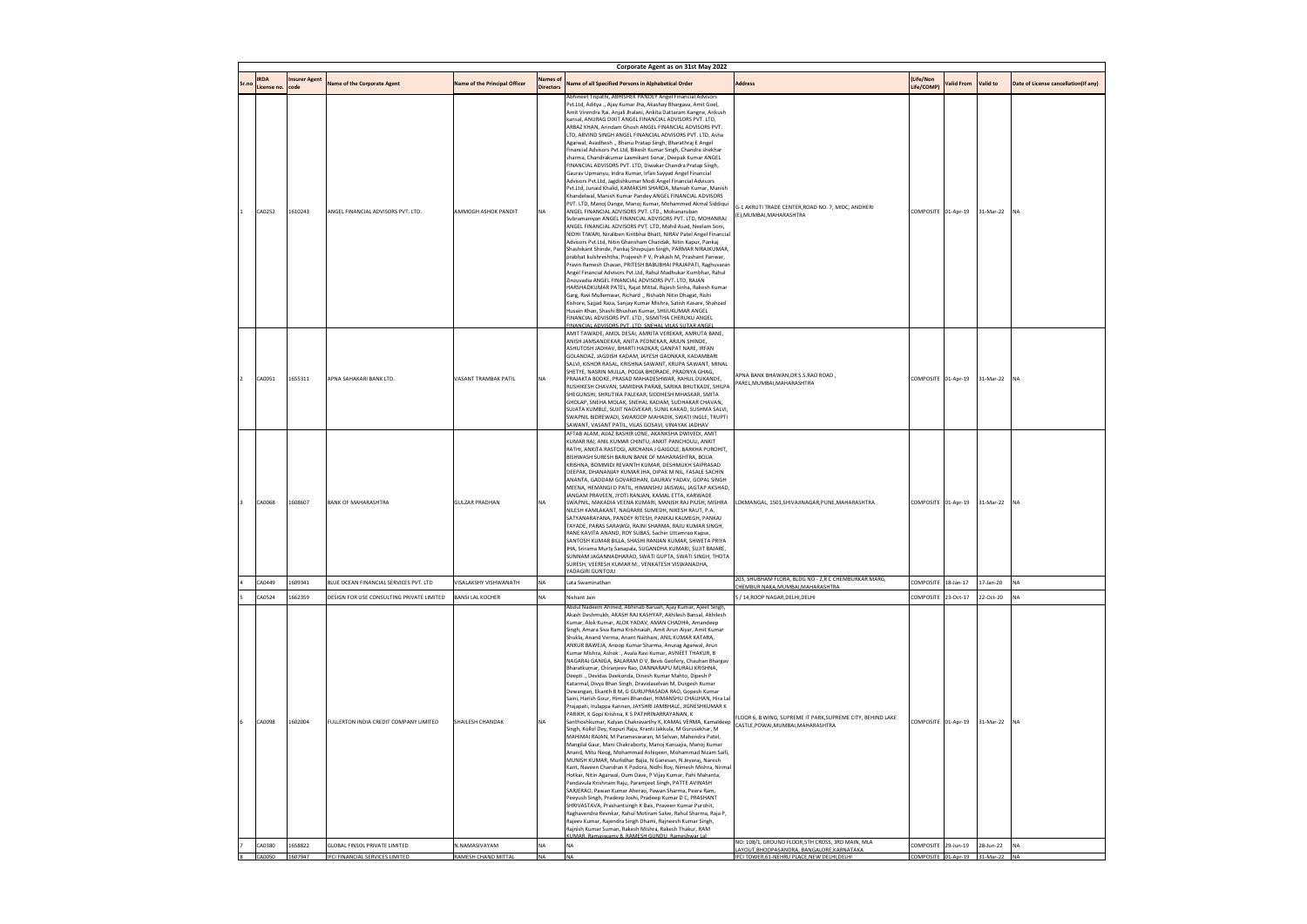|  | Corporate Agent as on 31st May 2022 |                    |                                                                         |                                          |                       |                                                                                                                                                                                                                                                                                                                                                                                                                                                                                                                                                                                                                                                                                                                                                                                                                                                                                                                                                                                                                                                                                                                                                                                                                                                                                                                                                                                                                                                                                                                                                                                                                                                                                                                                                                                                                                                                                                                                                                                             |                                                                                                                                                                                                 |                                            |           |                        |                                      |
|--|-------------------------------------|--------------------|-------------------------------------------------------------------------|------------------------------------------|-----------------------|---------------------------------------------------------------------------------------------------------------------------------------------------------------------------------------------------------------------------------------------------------------------------------------------------------------------------------------------------------------------------------------------------------------------------------------------------------------------------------------------------------------------------------------------------------------------------------------------------------------------------------------------------------------------------------------------------------------------------------------------------------------------------------------------------------------------------------------------------------------------------------------------------------------------------------------------------------------------------------------------------------------------------------------------------------------------------------------------------------------------------------------------------------------------------------------------------------------------------------------------------------------------------------------------------------------------------------------------------------------------------------------------------------------------------------------------------------------------------------------------------------------------------------------------------------------------------------------------------------------------------------------------------------------------------------------------------------------------------------------------------------------------------------------------------------------------------------------------------------------------------------------------------------------------------------------------------------------------------------------------|-------------------------------------------------------------------------------------------------------------------------------------------------------------------------------------------------|--------------------------------------------|-----------|------------------------|--------------------------------------|
|  | RDA<br>License no                   | nsurer Agent       | me of the Corporate Agent                                               | ne of the Principal Officer              | lames of<br>Directors | lame of all Specified Persons in Alphabetical Order                                                                                                                                                                                                                                                                                                                                                                                                                                                                                                                                                                                                                                                                                                                                                                                                                                                                                                                                                                                                                                                                                                                                                                                                                                                                                                                                                                                                                                                                                                                                                                                                                                                                                                                                                                                                                                                                                                                                         | <b>Address</b>                                                                                                                                                                                  | (Life/Non<br>Life/COMP)                    | alid From | Valid to               | Date of License cancellation(If any) |
|  | CA0252                              | 1610243            | ANGEL FINANCIAL ADVISORS PVT. LTD                                       | <b>MMOGH ASHOK PANDIT</b>                | NA                    | Tripathi. ABHISHEK PANDEY Angel Financial Advis<br>Pvt.Ltd, Aditya ., Ajay Kumar Jha, Akashay Bhargava, Amit Goel,<br>Amit Virendra Rai, Aniali Jhalani, Ankita Dattaram Kangne, Ankush<br>kansal, ANURAG DIXIT ANGEL FINANCIAL ADVISORS PVT. LTD,<br>ARBAZ KHAN, Arindam Ghosh ANGEL FINANCIAL ADVISORS PVT.<br>LTD, ARVIND SINGH ANGEL FINANCIAL ADVISORS PVT. LTD, Asha<br>Agarwal, Avadhesh ., Bhanu Pratap Singh, Bharathraj E Angel<br>Financial Advisors Pvt.Ltd, Bikesh Kumar Singh, Chandra shekhar<br>sharma, Chandrakumar Laxmikant Sonar, Deepak Kumar ANGEL<br>FINANCIAL ADVISORS PVT. LTD, Diwakar Chandra Pratap Singh,<br>Gauray Upmanyu, Indra Kumar, Irfan Sayyad Angel Financial<br>Advisors Pvt.Ltd, Jagdishkumar Modi Angel Financial Advisors<br>Pvt.Ltd, Junaid Khalid, KAMAKSHI SHARDA, Maniah Kumar, Manish<br>Khandelwal, Manish Kumar Pandey ANGEL FINANCIAL ADVISORS<br>PVT. LTD, Manoj Dange, Manoj Kumar, Mohammed Akmal Siddiqui<br>ANGEL FINANCIAL ADVISORS PVT. LTD., Mohanaruban<br>Subramaniyan ANGEL FINANCIAL ADVISORS PVT LTD. MOHANRAL<br>ANGEL FINANCIAL ADVISORS PVT. LTD. Mohd Asad. Neelam Soni.<br>NIDHI TIWARI, Niraliben Kiritbhai Bhatt, NIRAV Patel Angel Financial<br>Advisors Pvt.Ltd, Nitin Ghansham Chandak, Nitin Kapur, Pankaj<br>Shashikant Shinde, Pankaj Shivpujan Singh, PARMAR NIRAJKUMAR,<br>prabhat kulshreshtha, Prajeesh P V, Prakash M, Prashant Panwar,<br>Pravin Ramesh Chavan, PRITESH BABUBHAI PRAJAPATI, Raghuvarar<br>Angel Financial Advisors Pvt.Ltd, Rahul Madhukar Kumbhar, Rahul<br>Tinzuvadia ANGEL FINANCIAL ADVISORS PVT LTD, RAJAN<br>HARSHADKUMAR PATEL, Rajat Mittal, Rajesh Sinha, Rakesh Kumar<br>Garg, Ravi Mullemwar, Richard ., Rishabh Nitin Dhagat, Rishi<br>Kishore, Sajjad Raza, Sanjay Kumar Mishra, Satish Kasare, Shahzad<br>Husain Khan, Shashi Bhushan Kumar, SHIJUKUMAR ANGEL<br>INANCIAL ADVISORS PVT. LTD., SISMITHA CHERUKU ANGEL<br>INANCIAL ADVISORS PVT ITD. SNEHAL VILAS SLITAR ANGE | -1 AKRUTI TRADE CENTER, ROAD NO. 7, MIDC, ANDHERI<br>E).MUMBAI.MAHARASHTRA                                                                                                                      | COMPOSITE 01-Apr-19                        |           | 31-Mar-22              |                                      |
|  | CA0051                              | 1655311            | APNA SAHAKARI BANK LTD                                                  | VASANT TRAMBAK PATIL                     |                       | AMIT TAWADE, AMOL DESAI, AMRITA VEREKAR, AMRUTA BANE,<br>ANISH JAMSANDEKAR ANITA PEDNEKAR ARILIN SHINDE<br>ASHUTOSH JADHAV, BHARTI HADKAR, GANPAT NARE, IRFAN<br>GOLANDAZ, JAGDISH KADAM, JAYESH GAONKAR, KADAMBARI<br>SALVI, KISHOR RASAL, KRISHNA SAWANT, KRUPA SAWANT, MINAL<br>SHETYE, NASRIN MULLA, POOJA BHORADE, PRADNYA GHAG,<br>PRAJAKTA BODKE, PRASAD MAHADESHWAR, RAHUL DUKANDE,<br>RUSHIKESH CHAVAN, SAMIDHA PARAB, SARIKA BHUTKADE, SHILPA<br>SHEGUNSHI, SHRUTIKA PALEKAR, SIDDHESH MHASKAR, SMITA<br>GHOLAP, SNEHA MOLAK, SNEHAL KADAM, SUDHAKAR CHAVAN<br>SUJATA KUMBLE, SUJIT NAGVEKAR, SUNIL KAKAD, SUSHMA SALVI.<br>SWAPNIL BIDREWADI, SWAROOP MAHADIK, SWATI INGLE, TRUPTI<br>SAWANT, VASANT PATIL, VILAS GOSAVI, VINAYAK JADHAV                                                                                                                                                                                                                                                                                                                                                                                                                                                                                                                                                                                                                                                                                                                                                                                                                                                                                                                                                                                                                                                                                                                                                                                                                                         | APNA BANK BHAWAN.DR S.S.RAO ROAD.<br>AREL.MUMBAI.MAHARASHTRA                                                                                                                                    | COMPOSITE 01-Apr-19                        |           | 31-Mar-22              |                                      |
|  | CA0068                              | 1608607            | <b>BANK OF MAHARASHTRA</b>                                              | <b>GULZAR PRADHAN</b>                    | NA                    | AFTAB ALAM, AUAZ BASHIR LONE, AKANKSHA DWIVEDI, AMIT<br>KUMAR RAI, ANIL KUMAR CHINTU, ANKIT PANCHOULI, ANKIT<br>RATHI, ANKITA RASTOGI, ARCHANA J GAIGOLE, BARKHA PUROHIT.<br>BISHWASH SURESH BARUN BANK OF MAHARASHTRA, BOJJA<br>KRISHNA, BOMMIDI REVANTH KUMAR, DESHMUKH SAIPRASAD<br>DEEPAK, DHANANJAY KUMAR JHA, DIPAK M NIL, FASALE SACHIN<br>ANANTA, GADDAM GOVARDHAN, GAURAV YADAV, GOPAL SINGH<br>MEENA, HEMANGI D PATIL, HIMANSHU JAISWAL, JAGTAP AKSHAD<br>JANGAM PRAVEEN, JYOTI RANJAN, KAMAL ETTA, KARWADE<br>SWAPNIL, MAKADIA VEENA KUMARI, MANISH RAJ PIUSH, MISHRA<br>NILESH KAMLAKANT. NAGRARE SUMEDH. NIKESH RAUT. P.A.<br>SATYANARAYANA, PANDEY RITESH, PANKAJ KALMEGH, PANKAJ<br>TAYADE, PARAS SARAWGI, RAJNI SHARMA, RAJU KUMAR SINGH,<br>RANE KAVITA ANAND, ROY SUBAS, Sachin Uttamrao Kapse,<br>SANTOSH KUMAR BILLA, SHASHI RANJAN KUMAR, SHWETA PRIYA<br>IHA, Srirama Murty Sanapala, SUGANDHA KUMARI, SUJIT BAJARE,<br>SUNNAM JAGANNADHARAO, SWATI GUPTA, SWATI SINGH, THOTA<br>SURESH, VEERESH KUMAR M., VENKATESH VISWANADHA,<br>YADAGIRI GUNTOJU                                                                                                                                                                                                                                                                                                                                                                                                                                                                                                                                                                                                                                                                                                                                                                                                                                                                                                                  | LOKMANGAL, 1501.SHIVAJINAGAR, PUNE, MAHARASHTRA                                                                                                                                                 | COMPOSITE 01-Apr-19                        |           | 31-Mar-22              | <b>NA</b>                            |
|  | CA0449                              | 1609341            | BLUE OCEAN FINANCIAL SERVICES PVT. LTD                                  | <b>VISALAKSHY VISHWANATH</b>             | NA                    | Lata Swaminathan                                                                                                                                                                                                                                                                                                                                                                                                                                                                                                                                                                                                                                                                                                                                                                                                                                                                                                                                                                                                                                                                                                                                                                                                                                                                                                                                                                                                                                                                                                                                                                                                                                                                                                                                                                                                                                                                                                                                                                            | 203, SHUBHAM FLORA, BLDG NO - 2,R C CHEMBURKAR MARG,<br><b>HEMBUR NAKA.MUMBAI.MAHARASHTRA</b>                                                                                                   | COMPOSITE                                  | 18-Jan-17 | $17 - \tan - 20$       |                                      |
|  | CA0524                              | 1662359            | DESIGN FOR USE CONSULTING PRIVATE LIMITED                               | BANSI LAL KOCHER                         | NA                    | Nishant Jain                                                                                                                                                                                                                                                                                                                                                                                                                                                                                                                                                                                                                                                                                                                                                                                                                                                                                                                                                                                                                                                                                                                                                                                                                                                                                                                                                                                                                                                                                                                                                                                                                                                                                                                                                                                                                                                                                                                                                                                | 5 / 14, ROOP NAGAR, DELHI, DELHI                                                                                                                                                                | COMPOSITE                                  | 23-Oct-17 | 22-Oct-20              | NA                                   |
|  | CA0098<br>0850A2                    | 1602004<br>1658822 | FULLERTON INDIA CREDIT COMPANY LIMITED<br>GLOBAL FINSOL PRIVATE LIMITED | SHAILESH CHANDAK<br><b>N.NAMASIVAYAM</b> | NA<br><b>NA</b>       | Abdul Nadeem Ahmed, Abhinab Baruah, Ajay Kumar, Ajeet Singh<br>Akash Deshmukh, AKASH RAJ KASHYAP, Akhilesh Bansal, Akhilesh<br>Kumar, Alok Kumar, ALOK YADAV, AMAN CHADHA, Amandeep<br>Singh, Amara Siya Rama Krishnaiah, Amit Arun Aiyar, Amit Kumar<br>Shukla, Anand Verma, Anant Naithani, ANIL KUMAR KATARA,<br>ANKUR BAWEJA, Anoop Kumar Sharma, Anurag Agarwal, Arun<br>(umar Mishra, Ashok ., Avala Ravi Kumar, AVNEET THAKUR, B<br>NAGARAJ GANIGA, BALARAM D V, Bevis Geofery, Chauhan Bhargav<br>Bharatkumar, Chiranjeev Rao, DANNARAPU MURALI KRISHNA,<br>Deepti ., Devidas Deekonda, Dinesh Kumar Mahto, Dipesh P<br>Katarmal, Divya Bhan Singh, Dravidaselvan M, Durgesh Kumar<br>Dewangan, Ekanth B M, G GURUPRASADA RAO, Gopesh Kumar<br>Saini, Harish Gour, Himani Bhandari, HIMANSHU CHAUHAN, Hira La<br>Prajapati, Irulappa Kannan, JAYSHRI JAMBHALE, JIGNESHKUMAR K<br>.<br>PARIKH, K Gopi Krishna, K S PATHRINARRAYANAN, K<br>Santhoshkumar, Kalyan Chakravarthy K, KAMAL VERMA, Kamaldee<br>Singh, Kollol Dey, Kopuri Raju, Kranti Jakkula, M Gurusekhar, M<br>MAHIMAI RAJAN, M Parameswaran, M Selvan, Mahendra Patel,<br>Mangilal Gaur, Mani Chakraborty, Manoj Kanuajia, Manoj Kumar<br>Anand, Mitu Neog, Mohammad Ashigeen, Mohammad Nizam Saifi<br>MUNISH KUMAR, Murlidhar Bajia, N Ganesan, N Jeyaraj, Naresh<br>Kant, Naveen Chandran K Podora, Nidhi Roy, Nimesh Mishra, Nirma<br>Hotkar, Nitin Agarwal, Oum Dave, P Vijay Kumar, Pahi Mahanta,<br>andavula Krishnam Raju, Paramjeet Singh, PATTE AVINASH<br>SARJERAO, Pawan Kumar Aherao, Pawan Sharma, Peera Ram,<br>Peeyush Singh, Pradeep Joshi, Pradeep Kumar D C, PRASHANT<br>SHRIVASTAVA, Prashantsingh K Bais, Praveen Kumar Purohit,<br>Raghayendra Reynkar, Rahul Motiram Salve, Rahul Sharma, Raja P.<br>Rajeev Kumar, Rajendra Singh Dhami, Rajneesh Kumar Singh,<br>Rajnish Kumar Suman, Rakesh Mishra, Rakesh Thakur, RAM<br>KLIMAR Ramaswamy R. RAMFSH GLINDLL Rameshwar Lal<br><b>NA</b>        | LOOR 6. B WING, SUPREME IT PARK SUPREME CITY, BEHIND LAKE<br>CASTLE.POWAI.MUMBAI.MAHARASHTRA<br>NO: 108/1, GROUND FLOOR, STH CROSS, 3RD MAIN, MLA<br>LAYOUT, BHOOPASANDRA, BANGALORE, KARNATAKA | COMPOSITE 01-Apr-19<br>COMPOSITE 29-Jun-19 |           | 31-Mar-22<br>28-lun-22 | <b>NA</b>                            |
|  | CA0050                              | 1607947            | FCI FINANCIAL SERVICES LIMITED                                          | RAMESH CHAND MITTAL                      | NA                    | <b>NA</b>                                                                                                                                                                                                                                                                                                                                                                                                                                                                                                                                                                                                                                                                                                                                                                                                                                                                                                                                                                                                                                                                                                                                                                                                                                                                                                                                                                                                                                                                                                                                                                                                                                                                                                                                                                                                                                                                                                                                                                                   | FCI TOWER.61-NEHRU PLACE.NEW DELHI.DELHI                                                                                                                                                        | COMPOSITE 01-Apr-19                        |           | 31-Mar-22              |                                      |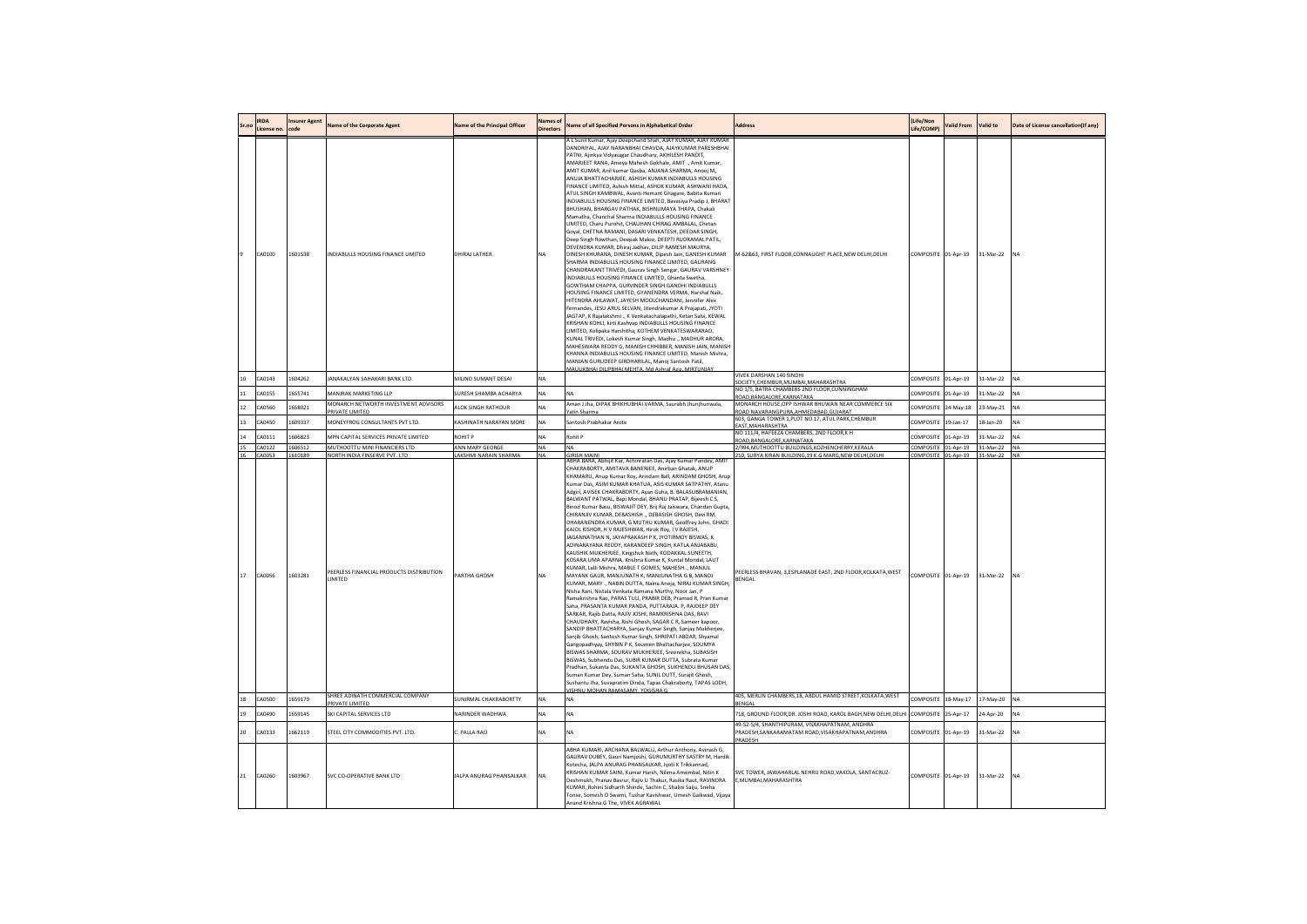| r.no | <b>IRDA</b><br>License no | Insurer Agent<br>code | lame of the Corporate Agent                                    | Name of the Principal Officer            | <b>Names of</b><br><b>Directors</b> | Name of all Specified Persons in Alphabetical Order                                                                                                                                                                                                                                                                                                                                                                                                                                                                                                                                                                                                                                                                                                                                                                                                                                                                                                                                                                                                                                                                                                                                                                                                                                                                                                                                                                                                                                                                                                                                                                                                                                                                                                                                                                                                                              | <b>Address</b>                                                                                                       | (Life/Non<br>Life/COMP) | alid From                                            | Valid to  | Date of License cancellation(If any) |
|------|---------------------------|-----------------------|----------------------------------------------------------------|------------------------------------------|-------------------------------------|----------------------------------------------------------------------------------------------------------------------------------------------------------------------------------------------------------------------------------------------------------------------------------------------------------------------------------------------------------------------------------------------------------------------------------------------------------------------------------------------------------------------------------------------------------------------------------------------------------------------------------------------------------------------------------------------------------------------------------------------------------------------------------------------------------------------------------------------------------------------------------------------------------------------------------------------------------------------------------------------------------------------------------------------------------------------------------------------------------------------------------------------------------------------------------------------------------------------------------------------------------------------------------------------------------------------------------------------------------------------------------------------------------------------------------------------------------------------------------------------------------------------------------------------------------------------------------------------------------------------------------------------------------------------------------------------------------------------------------------------------------------------------------------------------------------------------------------------------------------------------------|----------------------------------------------------------------------------------------------------------------------|-------------------------|------------------------------------------------------|-----------|--------------------------------------|
|      | CA0100                    | 1601538               | NDIABULLS HOUSING FINANCE LIMITED                              | DHIRAJ LATHER                            | NA                                  | L Sunil Kumar, Ajay Deepchand Shah, AJAY KUMAR, AJAY KUMAR<br>DANDRIYAL, AJAY NARANBHAI CHAVDA, AJAYKUMAR PARESHBHAI<br>PATNI, Ajinkya Vidyasagar Chaudhary, AKHILESH PANDIT,<br>AMARJEET RANA, Ameya Mahesh Gokhale, AMIT., Amit Kumar,<br>AMIT KUMAR, Anil kumar Qasba, ANJANA SHARMA, Anooj M,<br>ANUJA BHATTACHARJEE, ASHISH KUMAR INDIABULLS HOUSING<br>FINANCE LIMITED. Ashish Mittal, ASHOK KUMAR, ASHWANI HADA.<br>ATUL SINGH KAMBWAL, Avanti Hemant Ghagare, Babita Kumari<br>INDIABULLS HOUSING FINANCE LIMITED, Bavasiya Pradip J, BHARAT<br>BHUSHAN, BHARGAV PATHAK, BISHNUMAYA THAPA, Chakali<br>Mamatha, Chanchal Sharma INDIABULLS HOUSING FINANCE<br>LIMITED, Charu Purohit, CHAUHAN CHIRAG AMBALAL, Chetan<br>Goyal, CHETNA RAMANI, DASARI VENKATESH, DEEDAR SINGH,<br>Deep Singh Rowthan, Deepak Maloo, DEEPTI RUDRAMAL PATIL<br>DEVENDRA KUMAR, Dhiraj Jadhav, DILIP RAMESH MAURYA,<br>DINESH KHURANA, DINESH KUMAR, Dipesh Jain, GANESH KUMAR<br>SHARMA INDIABULLS HOUSING FINANCE LIMITED. GAURANG<br>CHANDRAKANT TRIVEDI, Gauray Singh Sengar, GAURAV VARSHNEY<br>INDIABULLS HOUSING FINANCE LIMITED, Ghanta Swetha,<br>GOWTHAM CHAPPA, GURVINDER SINGH GANDHI INDIABULLS<br>HOUSING FINANCE LIMITED, GYANENDRA VERMA, Harshal Naik,<br>HITENDRA AHLAWAT, JAYESH MOOLCHANDANI, Jennifer Alex<br>Fernandes, JESU ARUL SELVAN, Jitendrakumar A Prajapati, JYOTI<br>JAGTAP, K Rajalakshmi  K Venkatachalapathi, Ketan Salvi, KEWAL<br>KRISHAN KOHLI, kirti Kashyap INDIABULLS HOUSING FINANCE<br>LIMITED, Kolipaka Harshitha, KOTHEM VENKATESWARARAO,<br>KUNAL TRIVEDI, Lokesh Kumar Singh, Madhu ., MADHUR ARORA<br>MAHESWARA REDDY G, MANISH CHHIBBER, MANISH JAIN, MANISH<br>KHANNA INDIABULLS HOUSING FINANCE LIMITED. Manish Mishra.<br>MANJAN GURUDEEP GIRDHARILAL, Manoj Santosh Patil,<br><b>AALILIKRHAL DILIDRHALMEHTA MALAchraf Aziz MIRTLINIAN</b> | M-62&63, FIRST FLOOR, CONNAUGHT PLACE, NEW DELHI, DELHI                                                              | COMPOSITE 01-Apr-19     |                                                      | 31-Mar-22 | <b>NA</b>                            |
|      | CA0143                    | 1604262               | JANAKALYAN SAHAKARI BANK LTD.                                  | MILIND SUMANT DESAI                      | <b>NA</b>                           |                                                                                                                                                                                                                                                                                                                                                                                                                                                                                                                                                                                                                                                                                                                                                                                                                                                                                                                                                                                                                                                                                                                                                                                                                                                                                                                                                                                                                                                                                                                                                                                                                                                                                                                                                                                                                                                                                  | <b>VIVEK DARSHAN 140 SINDHI</b><br>SOCIETY.CHEMBUR.MUMBAI.MAHARASHTRA                                                | COMPOSITE 01-Apr-19     |                                                      | 31-Mar-22 | <b>NA</b>                            |
| 11.  | CA0155                    | 1655741               | MANJRAK MARKETING LLP                                          | SURESH SHAMBA ACHARYA                    | NA                                  | NA                                                                                                                                                                                                                                                                                                                                                                                                                                                                                                                                                                                                                                                                                                                                                                                                                                                                                                                                                                                                                                                                                                                                                                                                                                                                                                                                                                                                                                                                                                                                                                                                                                                                                                                                                                                                                                                                               | NO 1/5, BATRA CHAMBERS 2ND FLOOR, CUNNINGHAM<br>ROAD.BANGALORE.KARNATAKA                                             | COMPOSITE               | 01-Apr-19                                            | 31-Mar-22 | <b>NA</b>                            |
|      | CA0560                    | 1658021               | MONARCH NETWORTH INVESTMENT ADVISORS<br><b>RIVATE LIMITED</b>  | <b>ALOK SINGH RATHOUR</b>                | uΔ                                  | Aman J Jha, DIPAK BHIKHUBHAI VARMA, Saurabh Jhunjhunwala,<br>Yatin Sharma                                                                                                                                                                                                                                                                                                                                                                                                                                                                                                                                                                                                                                                                                                                                                                                                                                                                                                                                                                                                                                                                                                                                                                                                                                                                                                                                                                                                                                                                                                                                                                                                                                                                                                                                                                                                        | MONARCH HOUSE, OPP ISHWAR BHUWAN NEAR COMMERCE SIX<br>ROAD NAVARANGPURA.AHMEDABAD.GUJARAT                            | COMPOSITE               | 24-May-18                                            | 23-May-21 | <b>NA</b>                            |
|      | CA0450                    | 1609337               | MONEYFROG CONSULTANTS PVT LTD.                                 | KASHINATH NARAYAN MORE                   | NA                                  | antosh Prabhakar Arote                                                                                                                                                                                                                                                                                                                                                                                                                                                                                                                                                                                                                                                                                                                                                                                                                                                                                                                                                                                                                                                                                                                                                                                                                                                                                                                                                                                                                                                                                                                                                                                                                                                                                                                                                                                                                                                           | 603, GANGA TOWER 1, PLOT NO 17, ATUL PARK, CHEMBUR<br><b>AST.MAHARASHTRA</b>                                         | COMPOSITE               | 19-Jan-17                                            | 18-Jan-20 | <b>NA</b>                            |
|      | CA0111                    | 1606823               | APN CAPITAL SERVICES PRIVATE LIMITED                           | OHIT P                                   |                                     | tohit P                                                                                                                                                                                                                                                                                                                                                                                                                                                                                                                                                                                                                                                                                                                                                                                                                                                                                                                                                                                                                                                                                                                                                                                                                                                                                                                                                                                                                                                                                                                                                                                                                                                                                                                                                                                                                                                                          | NO 111/4, HAFEEZA CHAMBERS, 2ND FLOOR,K H<br>ROAD.BANGALORE.KARNATAKA                                                | COMPOSITE               | 01-Apr-19                                            | 31-Mar-22 | <b>NA</b>                            |
|      | CA0122<br>CA0053          | 1606512<br>1610189    | MUTHOOTTU MINI FINANCIERS LTD<br>NORTH INDIA FINSERVE PVT. LTD | ANN MARY GEORGE<br>LAKSHMI NARAIN SHARMA | NA<br><b>NA</b>                     | GIRISH MAINI                                                                                                                                                                                                                                                                                                                                                                                                                                                                                                                                                                                                                                                                                                                                                                                                                                                                                                                                                                                                                                                                                                                                                                                                                                                                                                                                                                                                                                                                                                                                                                                                                                                                                                                                                                                                                                                                     | 2/994, MUTHOOTTU BUILDINGS, KOZHENCHERRY, KERALA<br>210, SURYA KIRAN BUILDING, 19 K.G MARG, NEW DELHI, DELHI         |                         | COMPOSITE 01-Apr-19 31-Mar-22<br>COMPOSITE 01-Apr-19 | 31-Mar-22 | <b>NA</b><br><b>NA</b>               |
| 17   | CA0056                    | 1603281               | PEERLESS FINANCIAL PRODUCTS DISTRIBUTION<br>LIMITED            | PARTHA GHOSH                             | <b>NA</b>                           | ABHA BARA, Abhiilt Kar, Achinratan Das, Aiay Kumar Pandey, AMI'<br>CHAKRABORTY, AMITAVA BANERJEE, Anirban Ghatak, ANUP<br>KHAMARU, Anup Kumar Roy, Arindam Ball, ARINDAM GHOSH, Arup<br>Kumar Das, ASIM KUMAR KHATUA, ASIS KUMAR SATPATHY, Atanu<br>Adgiri, AVISEK CHAKRABORTY, Ayan Guha, B. BALASUBRAMANIAN,<br>BALWANT PATWAL, Bapi Mondal, BHANU PRATAP, Bijeesh C S,<br>Binod Kumar Basu, BISWAJIT DEY, Brij Raj Jaiswara, Chandan Gupta,<br>CHIRANJIV KUMAR, DEBASHISH  DEBASISH GHOSH, Devi RM.<br>DHARANENDRA KUMAR, G MUTHU KUMAR, Geoffrey John, GHADI<br>KAJOL KISHOR, H V RAJESHWAR, Hirok Roy, I V RAJESH,<br>JAGANNATHAN N, JAYAPRAKASH P K, JYOTIRMOY BISWAS, K<br>ADINARAYANA REDDY, KARANDEEP SINGH, KATI A ANJARARU.<br>KAUSHIK MUKHERJEE, Kingshuk Nath, KODAKKAL SUNEETH,<br>KOSARA UMA APARNA, Krishna Kumar K, Kuntal Mondal, LALIT<br>KUMAR, LalJi Mishra, MABLE T GOMES, MAHESH ., MANJUL<br>MAYANK GAUR, MANJUNATH K, MANJUNATHA G B, MANOJ<br>KUMAR, MARY ., NABIN DUTTA, Naina Aneja, NIRAJ KUMAR SINGH,<br>Nisha Rani, Nistala Venkata Ramana Murthy, Noor Jan, P<br>Ramakrishna Rao, PARAS TULI, PRABIR DEB, Pramod R, Pran Kumar<br>Saha, PRASANTA KUMAR PANDA, PUTTARAJA. P, RAJDEEP DEY<br>SARKAR, Rajib Datta, RAJIV JOSHI, RAMKRISHNA DAS, RAVI<br>CHAUDHARY, Ravisha, Rishi Ghosh, SAGAR C R, Sameer kapoor,<br>SANDIP BHATTACHARYA, Sanjay Kumar Singh, Sanjay Mukherjee,<br>Sanjib Ghosh, Santosh Kumar Singh, SHRIPATI ABDAR, Shyamal<br>Gangopadhyay, SHYBIN P K, Soumen Bhattacharjee, SOUMYA<br>BISWAS SHARMA, SOURAV MUKHERJEE, Sreerekha, SUBASISH<br>BISWAS, Subhendu Das, SUBIR KUMAR DUTTA, Subrata Kumar<br>Pradhan, Sukanta Das, SUKANTA GHOSH, SUKHENDU BHUSAN DAS,<br>Suman Kumar Dey, Suman Saha, SUNIL DUTT, Surajit Ghosh,<br>Sushantu Jha, Suvapratim Dinda, Tapas Chakraborty, TAPAS LODH.                                | PEERLESS BHAVAN, 3,ESPLANADE EAST, 2ND FLOOR, KOLKATA, WEST<br>BENGAL                                                | COMPOSITE 01-Apr-19     |                                                      | 31-Mar-22 | <b>NA</b>                            |
|      | CA0500                    | 1659179               | SHREE ADINATH COMMERCIAL COMPANY                               | SUNIRMAL CHAKRABORTTY                    | <b>NA</b>                           | VISHNIJ MOHAN RAMASAMY. YOGISHA G.<br><b>NA</b>                                                                                                                                                                                                                                                                                                                                                                                                                                                                                                                                                                                                                                                                                                                                                                                                                                                                                                                                                                                                                                                                                                                                                                                                                                                                                                                                                                                                                                                                                                                                                                                                                                                                                                                                                                                                                                  | 405, MERLIN CHAMBERS, 18, ABDUL HAMID STREET, KOLKATA, WEST                                                          | COMPOSITE 18-May-17     |                                                      | 17-May-20 | <b>NA</b>                            |
|      | CA0490                    | 1659145               | PRIVATE LIMITED<br>SKI CAPITAL SERVICES LTD                    | <b>NARINDER WADHWA</b>                   | NA                                  | NA                                                                                                                                                                                                                                                                                                                                                                                                                                                                                                                                                                                                                                                                                                                                                                                                                                                                                                                                                                                                                                                                                                                                                                                                                                                                                                                                                                                                                                                                                                                                                                                                                                                                                                                                                                                                                                                                               | BENGAL<br>718, GROUND FLOOR, DR. JOSHI ROAD, KAROL BAGH, NEW DELHI, DELHI COMPOSITE                                  |                         | 25-Apr-17                                            | 24-Apr-20 | <b>NA</b>                            |
| ٥ń   | CA0133                    | 1662119               | <b>STEEL CITY COMMODITIES PVT. LTD.</b>                        | . PALLA RAO                              | NA                                  | <b>NA</b>                                                                                                                                                                                                                                                                                                                                                                                                                                                                                                                                                                                                                                                                                                                                                                                                                                                                                                                                                                                                                                                                                                                                                                                                                                                                                                                                                                                                                                                                                                                                                                                                                                                                                                                                                                                                                                                                        | 49-52-5/4, SHANTHIPURAM, VISAKHAPATNAM, ANDHRA<br>PRADESH, SANKARAMATAM ROAD, VISAKHAPATNAM, ANDHRA<br><b>RADESH</b> | COMPOSITE               | 01-Apr-19                                            | 31-Mar-22 | <b>NA</b>                            |
| 21   | CA0260                    | 1603967               | SVC CO-OPERATIVE RANK ITD                                      | <b>JAI PA ANURAG PHANSALKAR</b>          | NA                                  | ABHA KUMARI, ARCHANA BALWALLI, Arthur Anthony, Avinash G,<br>GAURAV DUBEY, Gauri Namioshi, GURUMURTHY SASTRY M, Hardik<br>Kotecha, JALPA ANURAG PHANSALKAR, Jyoti K Trikkannad,<br>KRISHAN KUMAR SAINI, Kumar Harsh, Nilima Amembal, Nitin K<br>Deshmukh, Pranav Basrur, Rajiv U Thakur, Rasika Raut, RAVINDRA<br>KUMAR, Robini Sidharth Shinde, Sachin C, Shalini Saiju, Sneha<br>Tonse, Somesh O Swami, Tushar Kavishwar, Umesh Gaikwad, Vijaya<br>Anand Krishna.G The, VIVEK AGRAWAL                                                                                                                                                                                                                                                                                                                                                                                                                                                                                                                                                                                                                                                                                                                                                                                                                                                                                                                                                                                                                                                                                                                                                                                                                                                                                                                                                                                          | SVC TOWER, JAWAHARLAL NEHRU ROAD, VAKOLA, SANTACRUZ-<br>E, MUMBAI, MAHARASHTRA                                       | COMPOSITE 01-Apr-19     |                                                      | 31-Mar-22 | <b>NA</b>                            |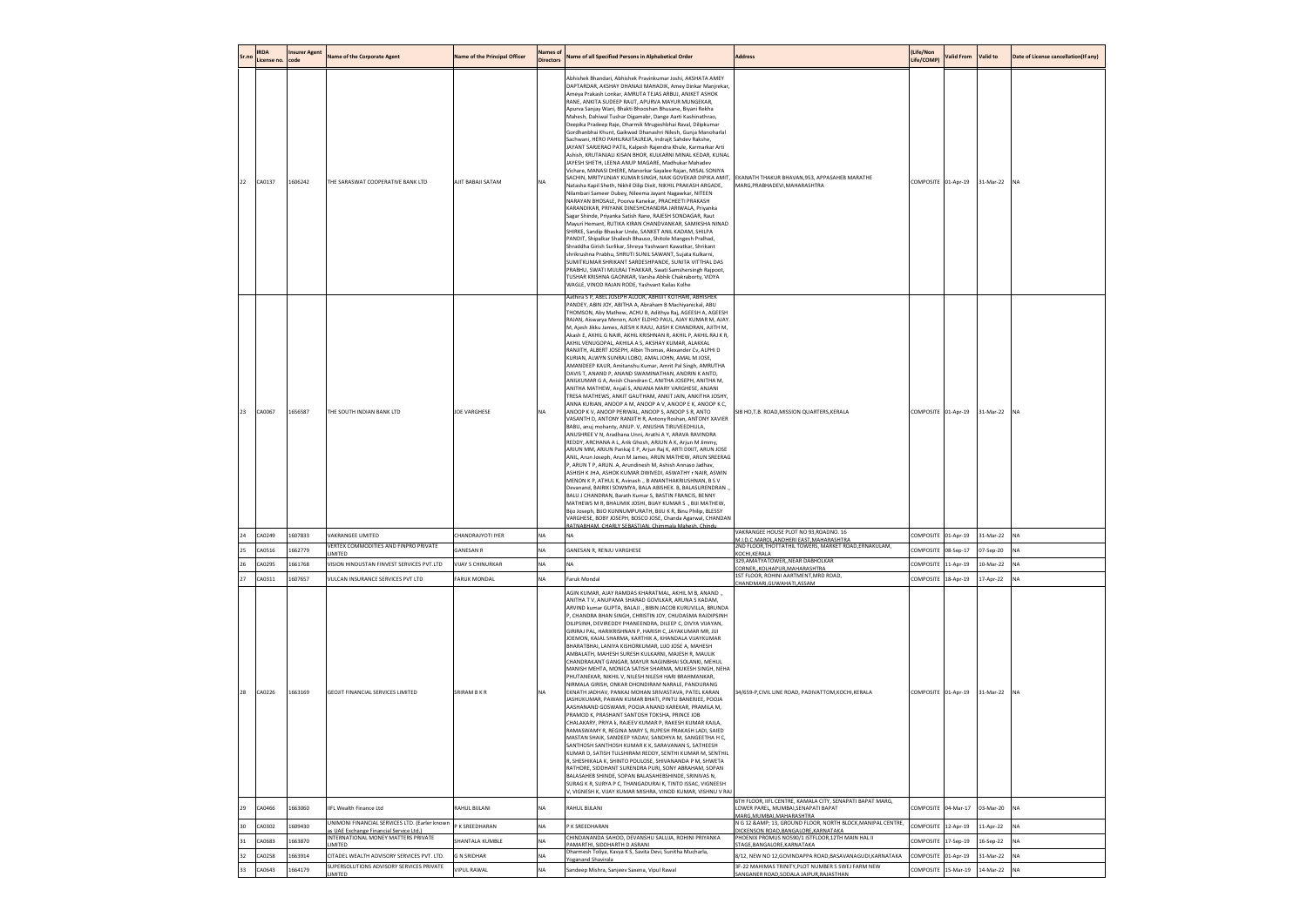|    | Sr.no | <b>IRDA</b><br>License no. code | <b>Insurer Agent</b> | <b>Name of the Corporate Agent</b>                                                      | <b>Name of the Principal Officer</b> | Names of<br><b>Directors</b> | <b>Name of all Specified Persons in Alphabetical Order</b>                                                                                                                                                                                                                                                                                                                                                                                                                                                                                                                                                                                                                                                                                                                                                                                                                                                                                                                                                                                                                                                                                                                                                                                                                                                                                                                                                                                                                                                                                                                                                                                                                                                                                                                                                                                                                | <b>Address</b>                                                                                                              | (Life/Non<br>Life/COMPI | <b>Valid From</b>   | Valid to     | Date of License cancellation(If any) |
|----|-------|---------------------------------|----------------------|-----------------------------------------------------------------------------------------|--------------------------------------|------------------------------|---------------------------------------------------------------------------------------------------------------------------------------------------------------------------------------------------------------------------------------------------------------------------------------------------------------------------------------------------------------------------------------------------------------------------------------------------------------------------------------------------------------------------------------------------------------------------------------------------------------------------------------------------------------------------------------------------------------------------------------------------------------------------------------------------------------------------------------------------------------------------------------------------------------------------------------------------------------------------------------------------------------------------------------------------------------------------------------------------------------------------------------------------------------------------------------------------------------------------------------------------------------------------------------------------------------------------------------------------------------------------------------------------------------------------------------------------------------------------------------------------------------------------------------------------------------------------------------------------------------------------------------------------------------------------------------------------------------------------------------------------------------------------------------------------------------------------------------------------------------------------|-----------------------------------------------------------------------------------------------------------------------------|-------------------------|---------------------|--------------|--------------------------------------|
| 22 |       | CA0137                          | 1606242              | THE SARASWAT COOPERATIVE BANK LTD                                                       | AJIT BABAJI SATAM                    | NA                           | Abhishek Bhandari, Abhishek Pravinkumar Joshi, AKSHATA AMEY<br>DAPTARDAR, AKSHAY DHANAJI MAHADIK, Amey Dinkar Manjrekar,<br>Ameya Prakash Lonkar, AMRUTA TEJAS ARBUJ, ANIKET ASHOK<br>RANE, ANKITA SUDEEP RAUT, APURVA MAYUR MUNGEKAR,<br>Apurya Sanjay Wani, Bhakti Bhooshan Bhusane, Biyani Rekha<br>Mahesh, Dahiwal Tushar Digamabr, Dange Aarti Kashinathrao,<br>Deepika Pradeep Raje, Dharmik Mrugeshbhai Raval, Dilipkumar<br>Gordhanbhai Khunt, Gaikwad Dhanashri Nilesh, Gunia Manobarlal<br>Sachwani, HERO PAHILRAJITALREJA, Indrajit Sahdev Rakshe,<br>JAYANT SARJERAO PATIL, Kalpesh Rajendra Khule, Karmarkar Arti<br>Ashish, KRUTANJALI KISAN BHOR, KULKARNI MINAL KEDAR, KUNAL<br>JAYESH SHETH, LEENA ANUP MAGARE, Madhukar Mahadev<br>Vichare, MANASI DHERE, Manorkar Sayalee Rajan, MISAL SONIYA<br>SACHIN, MRITYUNJAY KUMAR SINGH, NAIK GOVEKAR DIPIKA AMIT, EKANATH THAKUR BHAVAN, 953, APPASAHEB MARATHE<br>Natasha Kapil Sheth, Nikhil Dilip Dixit, NIKHIL PRAKASH ARGADE,<br>Nilambari Sameer Dubey, Nileema Jayant Nagawkar, NITEEN<br>NARAYAN BHOSALE, Poorva Kanekar, PRACHEETI PRAKASH<br>KARANDIKAR, PRIYANK DINESHCHANDRA JARIWALA, Priyanka<br>Sagar Shinde, Privanka Satish Rane, RAJESH SONDAGAR, Raut<br>Mayuri Hemant, RUTIKA KIRAN CHANDVANKAR, SAMIKSHA NINAD<br>SHIRKE, Sandip Bhaskar Unde, SANKET ANIL KADAM, SHILPA<br>PANDIT. Shipalkar Shailesh Bhauso. Shitole Mangesh Pralhad.<br>Shraddha Girish Surlikar, Shreya Yashwant Kawatkar, Shrikant<br>shrikrushna Prabhu, SHRUTI SUNIL SAWANT, Sujata Kulkarni,<br>SUMITKUMAR SHRIKANT SARDESHPANDE, SUNITA VITTHAL DAS<br>PRABHU. SWATI MULRAJ THAKKAR. Swati Samshersingh Raipoot.<br>TUSHAR KRISHNA GAONKAR, Varsha Abhik Chakraborty, VIDYA<br>WAGLE, VINOD RAJAN RODE, Yashvant Kailas Kolhe                                                                                   | MARG.PRABHADEVI.MAHARASHTRA                                                                                                 | COMPOSITE 01-Apr-19     |                     | 31-Mar-22    | <b>NA</b>                            |
| 23 |       | CA0067                          | 1656587              | THE SOUTH INDIAN BANK LTD                                                               | <b>JOE VARGHESE</b>                  | <b>NA</b>                    | Aathira S P, ABEL JOSEPH ALOOR, ABHIJIT KOTHARI, ABHISHEK<br>PANDEY, ABIN JOY, ABITHA A, Abraham B Machivanickal, ABU<br>THOMSON, Aby Mathew, ACHU B, Adithya Raj, AGEESH A, AGEESH<br>RAJAN, Aiswarya Menon, AJAY ELDHO PAUL, AJAY KUMAR M, AJAY.<br>M. Aiesh Jikku James, AJESH K RAJU, AJISH K CHANDRAN, AJITH M.<br>Akash E, AKHIL G NAIR, AKHIL KRISHNAN R, AKHIL P, AKHIL RAJ K R,<br>AKHIL VENUGOPAL, AKHILA A S, AKSHAY KUMAR, ALAKKAL<br>RANJITH, ALBERT JOSEPH, Albin Thomas, Alexander Cv, ALPHI D<br>KURIAN, ALWYN SUNRAJ LOBO, AMAL JOHN, AMAL M JOSE.<br>AMANDEEP KAUR, Amitanshu Kumar, Amrit Pal Singh, AMRUTHA<br>DAVIS T, ANAND P, ANAND SWAMINATHAN, ANDRIN K ANTO,<br>ANILKUMAR G A. Anish Chandran C. ANITHA JOSEPH. ANITHA M.<br>ANITHA MATHEW, Aniali S, ANJANA MARY VARGHESE, ANJANI<br>TRESA MATHEWS, ANKIT GAUTHAM, ANKIT JAIN, ANKITHA JOSHY,<br>ANNA KURIAN, ANOOP A M, ANOOP A V, ANOOP E K, ANOOP K C,<br>ANOOP K.V. ANOOP PERIWAL, ANOOP S. ANOOP S.R. ANTO<br>VASANTH D, ANTONY RANJITH R, Antony Roshan, ANTONY XAVIER<br>BABU, anuj mohanty, ANUP. V, ANUSHA TIRUVEEDHULA,<br>ANUSHREE V N. Aradhana Unni, Arathi A Y. ARAVA RAVINDRA<br>REDDY, ARCHANA A L, Arik Ghosh, ARJUN A K, Arjun M Jimmy,<br>ARJUN MM, ARJUN Pankaj E P, Arjun Raj K, ARTI DIXIT, ARUN JOSE<br>ANIL, Arun Joseph, Arun M James, ARUN MATHEW, ARUN SREERAG<br>P. ARUN T P. ARUN, A. Arundinesh M. Ashish Annaso Jadhay.<br>ASHISH K JHA, ASHOK KUMAR DWIVEDI, ASWATHY r NAIR, ASWIN<br>MENON K P, ATHUL K, Avinash., B ANANTHAKRIUSHNAN, B S V<br>Devanand, BAIRIKI SOWMYA, BALA ARISHEK, B. BALASURENDRAN<br>BALU J CHANDRAN, Barath Kumar S, BASTIN FRANCIS, BENNY<br>MATHEWS M R, BHAUMIK JOSHI, BIJAY KUMAR S., BIJI MATHEW,<br>Bijo Joseph, BIJO KUNNUMPURATH, BIJU K R, Binu Philip, BLESSY<br>VARGHESE, BOBY JOSEPH, BOSCO JOSE, Chanda Agarwal, CHANDAN | SIB HO.T.B. ROAD.MISSION QUARTERS.KERALA                                                                                    | COMPOSITE 01-Apr-19     |                     | 31-Mar-22 NA |                                      |
|    |       | CA0249                          | 1607833              | VAKRANGEE LIMITED                                                                       | CHANDRAJYOTI IYER                    | <b>NA</b>                    | RATNARHAM CHARIY SERASTIAN Chimmala Mahesh Chindu<br><b>NA</b>                                                                                                                                                                                                                                                                                                                                                                                                                                                                                                                                                                                                                                                                                                                                                                                                                                                                                                                                                                                                                                                                                                                                                                                                                                                                                                                                                                                                                                                                                                                                                                                                                                                                                                                                                                                                            | VAKRANGEE HOUSE PLOT NO 93, ROADNO. 16                                                                                      |                         | COMPOSITE 01-Apr-19 | 31-Mar-22    | <b>NA</b>                            |
|    |       | CA0516                          | 1662779              | VERTEX COMMODITIES AND FINPRO PRIVATE                                                   | <b>GANESAN R</b>                     | NA                           | GANESAN R, RENJU VARGHESE                                                                                                                                                                                                                                                                                                                                                                                                                                                                                                                                                                                                                                                                                                                                                                                                                                                                                                                                                                                                                                                                                                                                                                                                                                                                                                                                                                                                                                                                                                                                                                                                                                                                                                                                                                                                                                                 | M.I.D.C.MAROL.ANDHERI EAST.MAHARASHTRA<br>2ND FLOOR, THOTTATHIL TOWERS, MARKET ROAD, ERNAKULAM,                             | COMPOSITE               | 08-Sep-17           | 07-Sep-20    | NA                                   |
|    |       | A0295                           | 1661768              | <b>IMITED</b><br>VISION HINDUSTAN FINVEST SERVICES PVT.LTD                              | <b>VIJAY S CHINURKAR</b>             | NA                           | <b>NA</b>                                                                                                                                                                                                                                                                                                                                                                                                                                                                                                                                                                                                                                                                                                                                                                                                                                                                                                                                                                                                                                                                                                                                                                                                                                                                                                                                                                                                                                                                                                                                                                                                                                                                                                                                                                                                                                                                 | KOCHI, KERALA<br>329, AMATYATOWER, , NEAR DABHOLKAR                                                                         | COMPOSITE               | 11-Apr-19           | 10-Mar-22    | <b>NV</b>                            |
|    |       | CA0311                          | 1607657              | VULCAN INSURANCE SERVICES PVT LTD                                                       | <b>FARUK MONDAL</b>                  | NA                           | Faruk Mondal                                                                                                                                                                                                                                                                                                                                                                                                                                                                                                                                                                                                                                                                                                                                                                                                                                                                                                                                                                                                                                                                                                                                                                                                                                                                                                                                                                                                                                                                                                                                                                                                                                                                                                                                                                                                                                                              | CORNER, KOLHAPUR, MAHARASHTRA<br>1ST FLOOR, ROHINI AARTMENT, MRD ROAD,                                                      | COMPOSITE               | 18-Apr-19           | 17-Apr-22    | ٧A                                   |
|    |       | CA0226                          | 1663169              | GEOJIT FINANCIAL SERVICES LIMITED                                                       | SRIRAM B K R                         | NA                           | AGIN KUMAR, AJAY RAMDAS KHARATMAL, AKHIL M B, ANAND<br>ANITHA TV, ANUPAMA SHARAD GOVILKAR, ARUNA S KADAM,<br>ARVIND kumar GUPTA, BALAJI ., BIBIN JACOB KURUVILLA, BRUNDA<br>P, CHANDRA BHAN SINGH, CHRISTIN JOY, CHUDASMA RAJDIPSINH<br>DILIPSINH, DEVIREDDY PHANEENDRA, DILEEP C, DIVYA VIJAYAN,<br>GIRIRAJ PAL, HARIKRISHNAN P, HARISH C, JAYAKUMAR MR, JIJI<br>JOEMON, KAJAL SHARMA, KARTHIK A, KHANDALA VUAYKUMAR<br>BHARATBHAI, LANIYA KISHORKUMAR, LIJO JOSE A, MAHESH<br>AMBALATH, MAHESH SURESH KULKARNI, MAJESH R, MAULIK<br>CHANDRAKANT GANGAR, MAYUR NAGINBHAI SOLANKI, MEHUL<br>MANISH MEHTA, MONICA SATISH SHARMA, MUKESH SINGH, NEHA<br>PHIJTANEKAR NIKHII V. NILESH NILESH HARI BRAHMANKAR<br>NIRMALA GIRISH, ONKAR DHONDIRAM NARALE, PANDURANG<br>EKNATH JADHAV, PANKAJ MOHAN SRIVASTAVA, PATEL KARAN<br>JASHUKUMAR, PAWAN KUMAR BHATI, PINTU BANERJEE, POOJA<br>AASHANAND GOSWAMI, POOJA ANAND KAREKAR, PRAMILA M,<br>PRAMOD K, PRASHANT SANTOSH TOKSHA, PRINCE JOB<br>CHALAKARY, PRIYA k, RAJEEV KUMAR P, RAKESH KUMAR KAJLA,<br>RAMASWAMY R, REGINA MARY S, RUPESH PRAKASH LADI, SAIED<br>MASTAN SHAIK, SANDEEP YADAV, SANDHYA M, SANGEETHA H C,<br>SANTHOSH SANTHOSH KUMAR K K, SARAVANAN S, SATHEESH<br>KUMAR D. SATISH TULSHIRAM REDDY, SENTHI KUMAR M. SENTHIL<br>R, SHESHIKALA K, SHINTO POULOSE, SHIVANANDA P M, SHWETA<br>RATHORE, SIDDHANT SURENDRA PURI, SONY ABRAHAM, SOPAN<br>BALASAHEB SHINDE, SOPAN BALASAHEBSHINDE, SRINIVAS N,<br>SURAG K R, SURYA P C, THANGADURAI K, TINTO ISSAC, VIGNEESH<br>V, VIGNESH K, VIJAY KUMAR MISHRA, VINOD KUMAR, VISHNU V RAJ                                                                                                                                                                                                                                                                             | CHANDMARI, GUWAHATI, ASSAM<br>34/659-P, CIVIL LINE ROAD, PADIVATTOM, KOCHI, KERALA                                          | COMPOSITE 01-Apr-19     |                     | 31-Mar-22 NA |                                      |
|    |       | CA0466                          | 1663060              | IIFL Wealth Finance Ltd                                                                 | RAHUL BIJLANI                        | NA                           | RAHUL BIJLANI                                                                                                                                                                                                                                                                                                                                                                                                                                                                                                                                                                                                                                                                                                                                                                                                                                                                                                                                                                                                                                                                                                                                                                                                                                                                                                                                                                                                                                                                                                                                                                                                                                                                                                                                                                                                                                                             | 6TH FLOOR, IIFL CENTRE, KAMALA CITY, SENAPATI BAPAT MARG,<br>LOWER PAREL, MUMBAI, SENAPATI BAPAT<br>MARG.MUMBAI.MAHARASHTRA |                         | COMPOSITE 04-Mar-17 | 03-Mar-20    | <b>NA</b>                            |
|    |       | CA0302                          | 1609430              | UNIMONI FINANCIAL SERVICES LTD. (Earler known<br>s UAE Exchange Financial Service Ltd.) | K SREEDHARAN                         | ΝA                           | P K SREEDHARAN                                                                                                                                                                                                                                                                                                                                                                                                                                                                                                                                                                                                                                                                                                                                                                                                                                                                                                                                                                                                                                                                                                                                                                                                                                                                                                                                                                                                                                                                                                                                                                                                                                                                                                                                                                                                                                                            | N G 12 & AMP; 13, GROUND FLOOR, NORTH BLOCK, MANIPAL CENTRE,<br>DICKENSON ROAD.BANGALORE.KARNATAKA                          | COMPOSITE               | 12-Apr-19           | 11-Apr-22    | ٧A                                   |
|    |       | CA0683                          | 1663870              | INTERNATIONAL MONEY MATTERS PRIVATE<br><b>IMITED</b>                                    | SHANTALA KUMBLE                      | NA                           | CHINDANANDA SAHOO, DEVANSHU SALUJA, ROHINI PRIYANKA<br>PAMARTHI, SIDDHARTH D ASRANI                                                                                                                                                                                                                                                                                                                                                                                                                                                                                                                                                                                                                                                                                                                                                                                                                                                                                                                                                                                                                                                                                                                                                                                                                                                                                                                                                                                                                                                                                                                                                                                                                                                                                                                                                                                       | PHOENIX PROMUS NO590/1 ISTFLOOR.12TH MAIN HAL II<br><b>STAGE BANGALORE KARNATAKA</b>                                        | COMPOSITE               | 17-Sep-19           | 16-Sep-22    | ٧A                                   |
|    |       | CA0258                          | 1663914              | CITADEL WEALTH ADVISORY SERVICES PVT. LTD.                                              | <b>GN SRIDHAR</b>                    | NA                           | Dharmesh Toliya, Kavya K S, Savita Devi, Sunitha Mucharla,<br>oganand Shavirala                                                                                                                                                                                                                                                                                                                                                                                                                                                                                                                                                                                                                                                                                                                                                                                                                                                                                                                                                                                                                                                                                                                                                                                                                                                                                                                                                                                                                                                                                                                                                                                                                                                                                                                                                                                           | 8/12. NEW NO 12.GOVINDAPPA ROAD.BASAVANAGUDI.KARNATAKA                                                                      | COMPOSITE               | 01-Apr-19           | 31-Mar-22    | N٨                                   |
|    |       | CA0643                          | 1664179              | SUPERSOLUTIONS ADVISORY SERVICES PRIVATE<br><b>IMITED</b>                               | <b>VIPUL RAWAL</b>                   | NA                           | Sandeep Mishra, Sanjeev Saxena, Vipul Rawal                                                                                                                                                                                                                                                                                                                                                                                                                                                                                                                                                                                                                                                                                                                                                                                                                                                                                                                                                                                                                                                                                                                                                                                                                                                                                                                                                                                                                                                                                                                                                                                                                                                                                                                                                                                                                               | 3F-22 MAHIMAS TRINITY, PLOT NUMBER 5 SWEJ FARM NEW<br>ANGANER ROAD, SODALA JAIPUR, RAJASTHAN                                | COMPOSITE               | 15-Mar-19           | 14-Mar-22    | <b>NV</b>                            |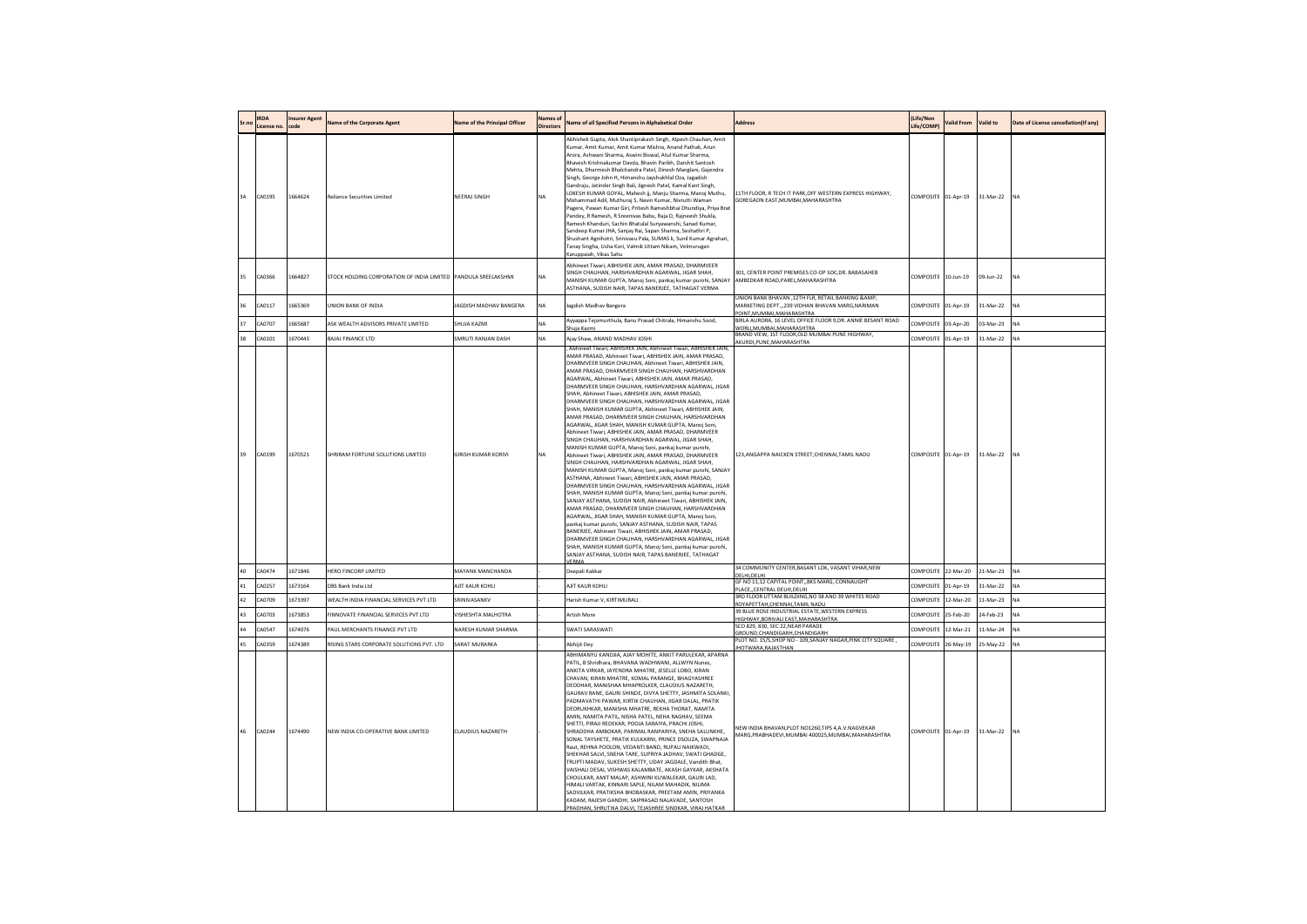|    | <b>IRDA</b>      | License no. | surer Agent<br>code | <b>Name of the Corporate Agent</b>                                               | Name of the Principal Officer             | Names of<br><b>Directors</b> | Name of all Specified Persons in Alphabetical Order                                                                                                                                                                                                                                                                                                                                                                                                                                                                                                                                                                                                                                                                                                                                                                                                                                                                                                                                                                                                                                                                                                                                                                                                                                                                                                                                                                                                                                                                                                                                                                                                                                       | <b>Address</b>                                                                                                                | (Life/Non<br>Life/COMPI          | <b>/alid From</b> | Valid to               | Date of License cancellation(If any) |
|----|------------------|-------------|---------------------|----------------------------------------------------------------------------------|-------------------------------------------|------------------------------|-------------------------------------------------------------------------------------------------------------------------------------------------------------------------------------------------------------------------------------------------------------------------------------------------------------------------------------------------------------------------------------------------------------------------------------------------------------------------------------------------------------------------------------------------------------------------------------------------------------------------------------------------------------------------------------------------------------------------------------------------------------------------------------------------------------------------------------------------------------------------------------------------------------------------------------------------------------------------------------------------------------------------------------------------------------------------------------------------------------------------------------------------------------------------------------------------------------------------------------------------------------------------------------------------------------------------------------------------------------------------------------------------------------------------------------------------------------------------------------------------------------------------------------------------------------------------------------------------------------------------------------------------------------------------------------------|-------------------------------------------------------------------------------------------------------------------------------|----------------------------------|-------------------|------------------------|--------------------------------------|
| 34 | CA0195           |             | 1664624             | <b>Reliance Securities Limited</b>                                               | <b>NEERAJ SINGH</b>                       | <b>NA</b>                    | Abhishek Gupta, Alok Shantiprakash Singh, Alpesh Chauhan, Amit<br>Kumar, Amit Kumar, Amit Kumar Mishra, Anand Pathak, Arun<br>Arora, Ashwani Sharma, Aswini Biswal, Atul Kumar Sharma,<br>Bhavesh Krishnakumar Davda, Bhavin Parikh, Darshit Santosh<br>Mehta, Dharmesh Bhalchandra Patel, Dinesh Manglani, Gajendra<br>Singh, George John H. Himanshu Jayshukhlal Oza, Jagadish<br>Gandraju, Jatinder Singh Bali, Jignesh Patel, Kamal Kant Singh,<br>LOKESH KUMAR GOYAL, Mahesh ji, Manju Sharma, Manoj Muthu,<br>Mohammad Adil, Muthuraj S, Navin Kumar, Nivrutti Waman<br>Pagere, Pawan Kumar Giri, Pritesh Rameshbhai Dhundiya, Priya Bra<br>Pandey, R Ramesh, R Sreenivas Babu, Raja D, Rajneesh Shukla,<br>Ramesh Khanduri, Sachin Bhatulal Suryawanshi, Sanad Kumar,<br>Sandeep Kumar JHA, Sanjay Rai, Sapan Sharma, Seshathri P,<br>Shushant Agnihotri, Sriniyasu Pala, SUMAS k, Sunil Kumar Agrahari,<br>Tanay Singha, Usha Kori, Valmik Uttam Nikam, Velmurugan<br>Karuppaiah, Vikas Sahu                                                                                                                                                                                                                                                                                                                                                                                                                                                                                                                                                                                                                                                                                      | 11TH FLOOR, R TECH IT PARK, OFF WESTERN EXPRESS HIGHWAY,<br>GOREGAON EAST, MUMBAI, MAHARASHTRA                                | COMPOSITE 01-Apr-19              |                   | 31-Mar-22              | <b>NA</b>                            |
|    | CA0366           |             | 1664827             | STOCK HOLDING CORPORATION OF INDIA LIMITED PANDULA SREELAKSHMI                   |                                           | NA                           | Abhineet Tiwari, ABHISHEK JAIN, AMAR PRASAD, DHARMVEER<br>SINGH CHAUHAN, HARSHVARDHAN AGARWAL, JIGAR SHAH,<br>MANISH KUMAR GUPTA, Manoj Soni, pankaj kumar purohi, SANJAY<br>ASTHANA, SUDISH NAIR, TAPAS BANERJEE, TATHAGAT VERMA                                                                                                                                                                                                                                                                                                                                                                                                                                                                                                                                                                                                                                                                                                                                                                                                                                                                                                                                                                                                                                                                                                                                                                                                                                                                                                                                                                                                                                                         | 301, CENTER POINT PREMISES CO-OP SOC, DR. BABASAHEB<br>AMBEDKAR ROAD, PAREL, MAHARASHTRA                                      | COMPOSITE 10-Jun-19              |                   | 09-Jun-22              | NA                                   |
|    | CA0117           |             | 1665369             | UNION BANK OF INDIA                                                              | AGDISH MADHAV BANGERA                     | <b>NA</b>                    | lagdish Madhav Bangera                                                                                                                                                                                                                                                                                                                                                                                                                                                                                                                                                                                                                                                                                                                                                                                                                                                                                                                                                                                                                                                                                                                                                                                                                                                                                                                                                                                                                                                                                                                                                                                                                                                                    | UNION BANK BHAVAN ,12TH FLR, RETAIL BANKING &<br>MARKETING DEPT.,,239 VIDHAN BHAVAN MARG,NARIMAN<br>POINT.MUMBAI.MAHARASHTRA  | COMPOSITE 01-Apr-19              |                   | 31-Mar-22              | <b>NA</b>                            |
|    | CA0707           |             | 1665687             | ASK WEALTH ADVISORS PRIVATE LIMITED                                              | HUJA KAZMI                                | <b>NA</b>                    | Ayyappa Tejomurthula, Banu Prasad Chitrala, Himanshu Sood,<br>Shuja Kazmi                                                                                                                                                                                                                                                                                                                                                                                                                                                                                                                                                                                                                                                                                                                                                                                                                                                                                                                                                                                                                                                                                                                                                                                                                                                                                                                                                                                                                                                                                                                                                                                                                 | BIRLA AURORA, 16 LEVEL OFFICE FLOOR 9,DR. ANNIE BESANT ROAD<br>WORLI.MUMBAI.MAHARASHTRA                                       | COMPOSITE                        | 03-Apr-20         | 03-Mar-23              | <b>NA</b>                            |
|    | CA0101           |             | 1670443             | <b>BAJAJ FINANCE LTD</b>                                                         | MRUTI RANJAN DASH                         | <b>NA</b>                    | Aiay Shaw, ANAND MADHAV JOSH                                                                                                                                                                                                                                                                                                                                                                                                                                                                                                                                                                                                                                                                                                                                                                                                                                                                                                                                                                                                                                                                                                                                                                                                                                                                                                                                                                                                                                                                                                                                                                                                                                                              | BRAND VIEW, 1ST FLOOR, OLD MUMBAI PUNE HIGHWAY,<br>AKURDI.PUNE.MAHARASHTRA                                                    | COMPOSITE                        | 01-Apr-19         | 31-Mar-22              |                                      |
|    | CA0199           |             | 1670521             | SHRIRAM FORTUNE SOLUTIONS LIMITED                                                | <b>GIRISH KUMAR KORIVI</b>                | NA                           | Abhineet Tiwari, ABHISHEK JAIN, Abhineet Tiwari, ABHISHEK JA<br>AMAR PRASAD, Abhineet Tiwari, ABHISHEK JAIN, AMAR PRASAD,<br>DHARMVEER SINGH CHAUHAN, Abhineet Tiwari, ABHISHEK JAIN.<br>AMAR PRASAD, DHARMVEER SINGH CHAUHAN, HARSHVARDHAN<br>AGARWAL, Abhineet Tiwari, ABHISHEK JAIN, AMAR PRASAD,<br>DHARMVEER SINGH CHAUHAN, HARSHVARDHAN AGARWAL, JIGAR<br>SHAH, Abhineet Tiwari, ABHISHEK JAIN, AMAR PRASAD,<br>DHARMVEER SINGH CHAUHAN, HARSHVARDHAN AGARWAL, JIGAR<br>SHAH, MANISH KUMAR GUPTA, Abhineet Tiwari, ABHISHEK JAIN,<br>AMAR PRASAD, DHARMVEER SINGH CHAUHAN, HARSHVARDHAN<br>AGARWAL, JIGAR SHAH, MANISH KUMAR GUPTA, Manoj Soni,<br>Abhineet Tiwari, ABHISHEK JAIN, AMAR PRASAD, DHARMVEER<br>SINGH CHAUHAN, HARSHVARDHAN AGARWAL, JIGAR SHAH,<br>MANISH KUMAR GUPTA, Manoi Soni, pankai kumar purohi.<br>Abhineet Tiwari, ABHISHEK JAIN, AMAR PRASAD, DHARMVEER<br>SINGH CHAUHAN, HARSHVARDHAN AGARWAL, JIGAR SHAH,<br>MANISH KUMAR GUPTA, Manoj Soni, pankaj kumar purohi, SANJAY<br>ASTHANA, Abhineet Tiwari, ABHISHEK JAIN, AMAR PRASAD,<br>DHARMVEER SINGH CHAUHAN, HARSHVARDHAN AGARWAL, JIGAR<br>SHAH, MANISH KUMAR GUPTA, Manoj Soni, pankaj kumar purohi,<br>SANJAY ASTHANA, SUDISH NAIR, Abhineet Tiwari, ABHISHEK JAIN,<br>AMAR PRASAD. DHARMVEER SINGH CHAUHAN, HARSHVARDHAN<br>AGARWAL, JIGAR SHAH, MANISH KUMAR GUPTA, Manoj Soni,<br>pankaj kumar purohi, SANJAY ASTHANA, SUDISH NAIR, TAPAS<br>BANERJEE, Abhineet Tiwari, ABHISHEK JAIN, AMAR PRASAD,<br>DHARMVEER SINGH CHAUHAN, HARSHVARDHAN AGARWAL, JIGAR<br>SHAH, MANISH KUMAR GUPTA, Manoj Soni, pankaj kumar purohi,<br>SANJAY ASTHANA, SUDISH NAIR, TAPAS BANERJEE, TATHAGAT<br><b>VERMA</b> | 123.ANGAPPA NAICKEN STREET.CHENNAI.TAMIL NADU                                                                                 | COMPOSITE 01-Apr-19              |                   | 31-Mar-22              | NA                                   |
|    | CA0474           |             | 1671846             | HERO FINCORP LIMITED                                                             | MAYANK MANCHANDA                          |                              | Deepali Kakkar                                                                                                                                                                                                                                                                                                                                                                                                                                                                                                                                                                                                                                                                                                                                                                                                                                                                                                                                                                                                                                                                                                                                                                                                                                                                                                                                                                                                                                                                                                                                                                                                                                                                            | 34 COMMUNITY CENTER, BASANT LOK, VASANT VIHAR, NEW<br>DELHI, DELHI                                                            | COMPOSITE 22-Mar-20              |                   | 21-Mar-23              | <b>NA</b>                            |
|    | CA0257           |             | 1673164             | DBS Bank India Ltd                                                               | <b>NIT KAUR KOHLI</b>                     |                              | AJIT KAUR KOHLI                                                                                                                                                                                                                                                                                                                                                                                                                                                                                                                                                                                                                                                                                                                                                                                                                                                                                                                                                                                                                                                                                                                                                                                                                                                                                                                                                                                                                                                                                                                                                                                                                                                                           | SF NO 11,12 CAPITAL POINT,, BKS MARG, CONNAUGHT<br>PLACECENTRAL DELHI.DELHI                                                   | COMPOSITE                        | 01-Apr-19         | 31-Mar-22              | NΔ                                   |
|    | CA0709           |             | 1673397             | WEALTH INDIA FINANCIAL SERVICES PVT LTD                                          | SRINIVASANKV                              |                              | Harish Kumar V, KIRTIMURALI                                                                                                                                                                                                                                                                                                                                                                                                                                                                                                                                                                                                                                                                                                                                                                                                                                                                                                                                                                                                                                                                                                                                                                                                                                                                                                                                                                                                                                                                                                                                                                                                                                                               | 3RD FLOOR UTTAM BUILDING, NO 38 AND 39 WHITES ROAD<br>ROYAPETTAH.CHENNAI.TAMIL NADU                                           | COMPOSITE                        | 12-Mar-20         | 11-Mar-23              | NA                                   |
|    | CA0703           |             | 1673853             | FINNOVATE FINANCIAL SERVICES PVT LTD                                             | <b>ISHESHTA MALHOTRA</b>                  |                              | Artish More                                                                                                                                                                                                                                                                                                                                                                                                                                                                                                                                                                                                                                                                                                                                                                                                                                                                                                                                                                                                                                                                                                                                                                                                                                                                                                                                                                                                                                                                                                                                                                                                                                                                               | 39 BLUE ROSE INDUSTRIAL ESTATE, WESTERN EXPRESS<br>IGHWAY.BORIVALI EAST.MAHARASHTRA<br>SCO 829, 830, SEC 22.NEAR PARADE       | COMPOSITE                        | 25-Feb-20         | 24-Feb-23              | NA                                   |
|    | CA0547           |             | 1674076             | PAUL MERCHANTS FINANCE PVT LTD                                                   | <b>VARESH KUMAR SHARMA</b>                |                              | SWATI SARASWATI                                                                                                                                                                                                                                                                                                                                                                                                                                                                                                                                                                                                                                                                                                                                                                                                                                                                                                                                                                                                                                                                                                                                                                                                                                                                                                                                                                                                                                                                                                                                                                                                                                                                           | GROUND.CHANDIGARH.CHANDIGARH<br>PLOT NO. 15/S, SHOP NO - 109, SANJAY NAGAR, PINK CITY SQUARE,                                 | COMPOSITE                        | 12-Mar-21         | 11-Mar-24              | NΑ                                   |
|    | CA0359<br>CA0244 |             | 1674389<br>1674490  | RISING STARS CORPORATE SOLUTIONS PVT. LTD<br>NEW INDIA CO-OPERATIVE BANK LIMITED | SARAT MURARKA<br><b>CLAUDIUS NAZARETH</b> |                              | <b>Abhilit Dev</b><br>ABHIMANYU KANOJIA, AJAY MOHITE, ANKIT PARULEKAR, APARNA<br>PATIL, B Shridhara, BHAVANA WADHWANI, ALLWYN Nunes,<br>ANKITA VIRKAR, JAYENDRA MHATRE, JESELLE LOBO, KIRAN<br>CHAVAN, KIRAN MHATRE, KOMAL PARANGE, BHAGYASHREE<br>DEODHAR, MANISHAA MHAPROLKER, CLAUDIUS NAZARETH,<br>GAURAV RANE, GAURI SHINDE, DIVYA SHETTY, JASHMITA SOLANKI<br>PADMAVATHI PAWAR, KIRTIK CHAUHAN, JIGAR DALAL, PRATIK<br>DEORUKHKAR, MANISHA MHATRE, REKHA THORAT, NAMITA<br>AMIN, NAMITA PATIL, NISHA PATEL, NEHA RAGHAV, SEEMA<br>SHETTI, PIRAJI REDEKAR, POOJA SARAIYA, PRACHI JOSHI,<br>SHRADDHA AMBOKAR, PARIMAL RANPARIYA, SNEHA SALUNKHE,<br>SONAL TAYSHETE, PRATIK KULKARNI, PRINCE DSOUZA, SWAPNAJA<br>Raut, REHNA POOLON, VEDANTI BAND, RUPALI NAIKWADI.<br>SHEKHAR SALVI, SNEHA TARE, SUPRIYA JADHAV, SWATI GHADGE,<br>TRUPTI MADAV, SUKESH SHETTY, UDAY JAGDALE, Vandith Bhat,<br>VAISHALI DESAI. VISHWAS KALAMBATE. AKASH GAYKAR. AKSHATA<br>CHOULKAR, AMIT MALAP, ASHWINI KUWALEKAR, GAURI LAD,                                                                                                                                                                                                                                                                                                                                                                                                                                                                                                                                                                                                                                                                         | HOTWARA.RAJASTHAN<br>NEW INDIA BHAVAN, PLOT NO1260, TIPS 4, A.V. NAGVEKAR<br>WARG.PRABHADEVI.MUMBAI 400025.MUMBAI.MAHARASHTRA | COMPOSITE<br>COMPOSITE 01-Apr-19 | 26-May-19         | 25-May-22<br>31-Mar-22 | <b>NA</b><br><b>NA</b>               |
|    |                  |             |                     |                                                                                  |                                           |                              | HIMAI I VARTAK, KINNARI SAPI E, NII AM MAHADIK, NII IMA<br>SADVILKAR, PRATIKSHA BHOBASKAR, PREETAM AMIN, PRIYANKA<br>KADAM, RAJESH GANDHI, SAIPRASAD NALAVADE, SANTOSH<br>PRADHAN, SHRUTIKA DALVI, TEJASHREE SINDKAR, VIRAJ HATKAR                                                                                                                                                                                                                                                                                                                                                                                                                                                                                                                                                                                                                                                                                                                                                                                                                                                                                                                                                                                                                                                                                                                                                                                                                                                                                                                                                                                                                                                        |                                                                                                                               |                                  |                   |                        |                                      |